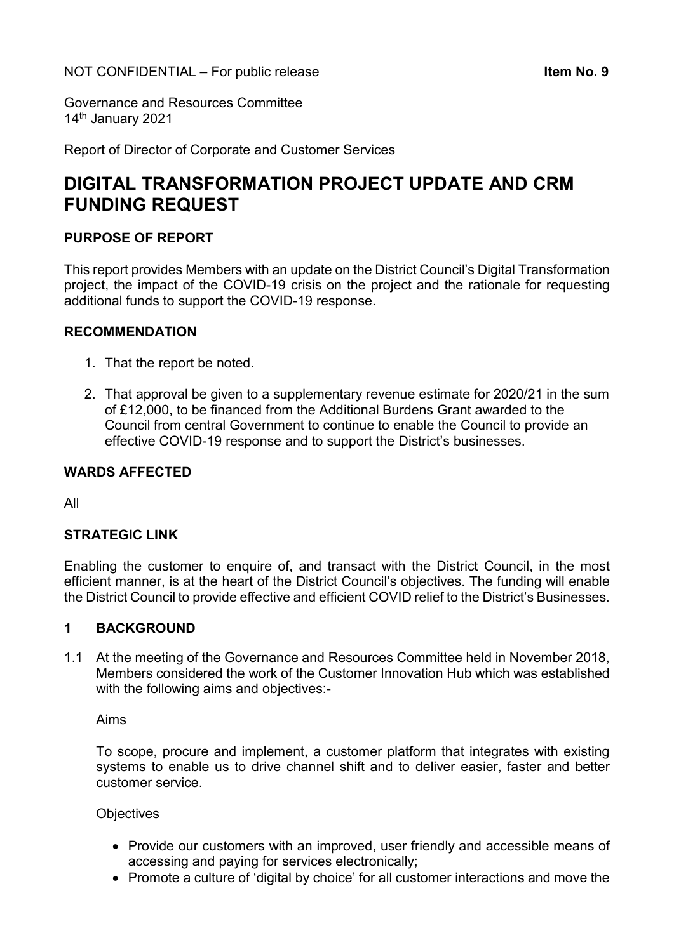Governance and Resources Committee 14<sup>th</sup> January 2021

Report of Director of Corporate and Customer Services

# DIGITAL TRANSFORMATION PROJECT UPDATE AND CRM FUNDING REQUEST

# PURPOSE OF REPORT

This report provides Members with an update on the District Council's Digital Transformation project, the impact of the COVID-19 crisis on the project and the rationale for requesting additional funds to support the COVID-19 response.

# RECOMMENDATION

- 1. That the report be noted.
- 2. That approval be given to a supplementary revenue estimate for 2020/21 in the sum of £12,000, to be financed from the Additional Burdens Grant awarded to the Council from central Government to continue to enable the Council to provide an effective COVID-19 response and to support the District's businesses.

### WARDS AFFECTED

All

# STRATEGIC LINK

Enabling the customer to enquire of, and transact with the District Council, in the most efficient manner, is at the heart of the District Council's objectives. The funding will enable the District Council to provide effective and efficient COVID relief to the District's Businesses.

# 1 BACKGROUND

1.1 At the meeting of the Governance and Resources Committee held in November 2018, Members considered the work of the Customer Innovation Hub which was established with the following aims and objectives:-

Aims

To scope, procure and implement, a customer platform that integrates with existing systems to enable us to drive channel shift and to deliver easier, faster and better customer service.

#### **Objectives**

- Provide our customers with an improved, user friendly and accessible means of accessing and paying for services electronically;
- Promote a culture of 'digital by choice' for all customer interactions and move the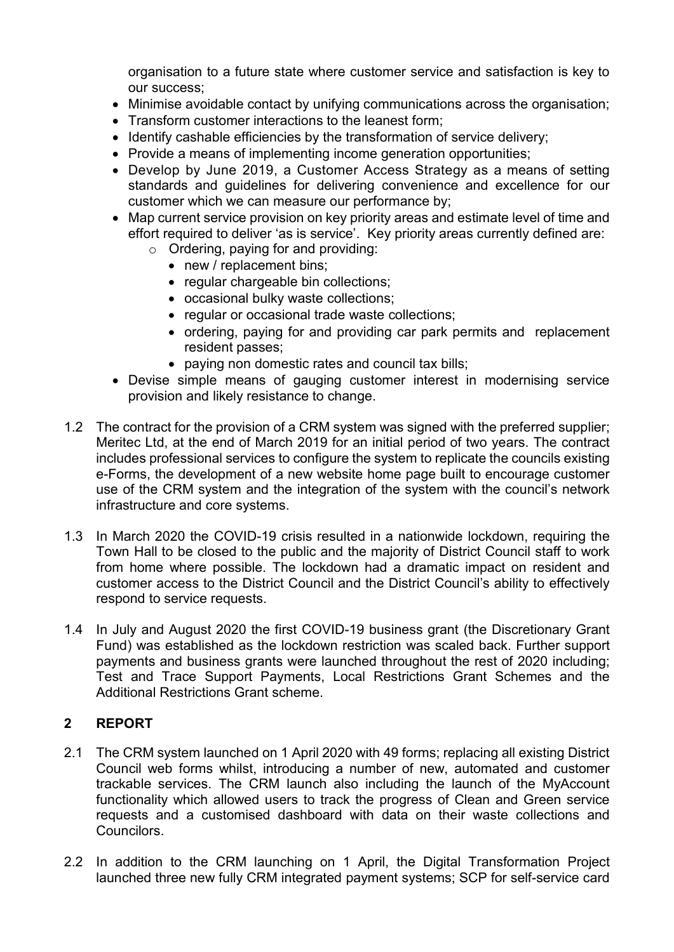organisation to a future state where customer service and satisfaction is key to our success;

- Minimise avoidable contact by unifying communications across the organisation;
- Transform customer interactions to the leanest form:
- Identify cashable efficiencies by the transformation of service delivery;
- Provide a means of implementing income generation opportunities;
- Develop by June 2019, a Customer Access Strategy as a means of setting standards and guidelines for delivering convenience and excellence for our customer which we can measure our performance by;
- Map current service provision on key priority areas and estimate level of time and effort required to deliver 'as is service'. Key priority areas currently defined are:
	- o Ordering, paying for and providing:
		- new / replacement bins;
		- regular chargeable bin collections;
		- occasional bulky waste collections;
		- regular or occasional trade waste collections;
		- ordering, paying for and providing car park permits and replacement resident passes;
		- paying non domestic rates and council tax bills;
- Devise simple means of gauging customer interest in modernising service provision and likely resistance to change.
- 1.2 The contract for the provision of a CRM system was signed with the preferred supplier; Meritec Ltd, at the end of March 2019 for an initial period of two years. The contract includes professional services to configure the system to replicate the councils existing e-Forms, the development of a new website home page built to encourage customer use of the CRM system and the integration of the system with the council's network infrastructure and core systems.
- 1.3 In March 2020 the COVID-19 crisis resulted in a nationwide lockdown, requiring the Town Hall to be closed to the public and the majority of District Council staff to work from home where possible. The lockdown had a dramatic impact on resident and customer access to the District Council and the District Council's ability to effectively respond to service requests.
- 1.4 In July and August 2020 the first COVID-19 business grant (the Discretionary Grant Fund) was established as the lockdown restriction was scaled back. Further support payments and business grants were launched throughout the rest of 2020 including; Test and Trace Support Payments, Local Restrictions Grant Schemes and the Additional Restrictions Grant scheme.

# 2 REPORT

- 2.1 The CRM system launched on 1 April 2020 with 49 forms; replacing all existing District Council web forms whilst, introducing a number of new, automated and customer trackable services. The CRM launch also including the launch of the MyAccount functionality which allowed users to track the progress of Clean and Green service requests and a customised dashboard with data on their waste collections and Councilors.
- 2.2 In addition to the CRM launching on 1 April, the Digital Transformation Project launched three new fully CRM integrated payment systems; SCP for self-service card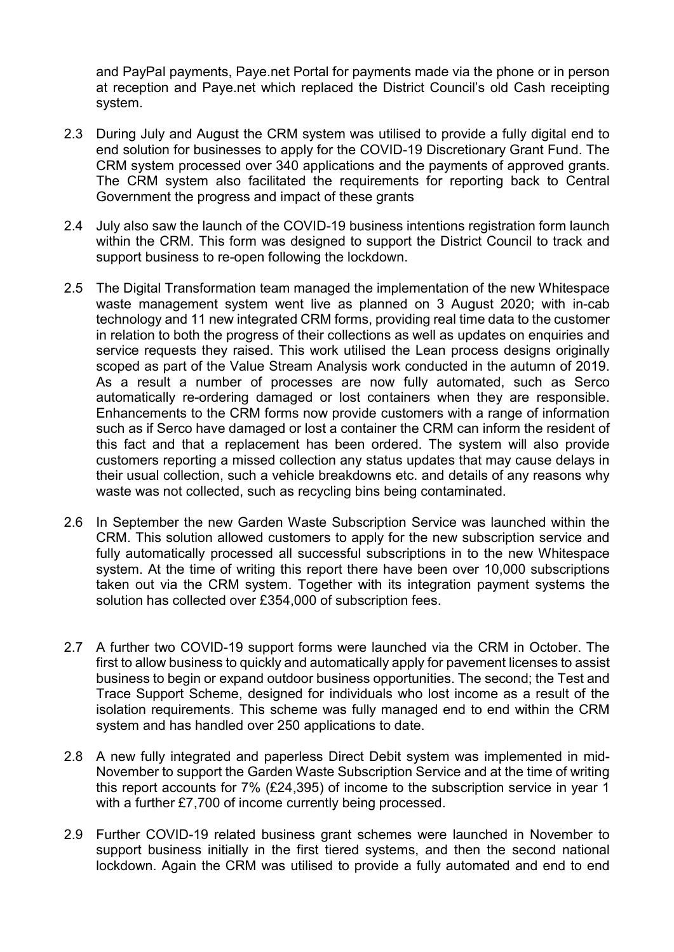and PayPal payments, Paye.net Portal for payments made via the phone or in person at reception and Paye.net which replaced the District Council's old Cash receipting system.

- 2.3 During July and August the CRM system was utilised to provide a fully digital end to end solution for businesses to apply for the COVID-19 Discretionary Grant Fund. The CRM system processed over 340 applications and the payments of approved grants. The CRM system also facilitated the requirements for reporting back to Central Government the progress and impact of these grants
- 2.4 July also saw the launch of the COVID-19 business intentions registration form launch within the CRM. This form was designed to support the District Council to track and support business to re-open following the lockdown.
- 2.5 The Digital Transformation team managed the implementation of the new Whitespace waste management system went live as planned on 3 August 2020; with in-cab technology and 11 new integrated CRM forms, providing real time data to the customer in relation to both the progress of their collections as well as updates on enquiries and service requests they raised. This work utilised the Lean process designs originally scoped as part of the Value Stream Analysis work conducted in the autumn of 2019. As a result a number of processes are now fully automated, such as Serco automatically re-ordering damaged or lost containers when they are responsible. Enhancements to the CRM forms now provide customers with a range of information such as if Serco have damaged or lost a container the CRM can inform the resident of this fact and that a replacement has been ordered. The system will also provide customers reporting a missed collection any status updates that may cause delays in their usual collection, such a vehicle breakdowns etc. and details of any reasons why waste was not collected, such as recycling bins being contaminated.
- 2.6 In September the new Garden Waste Subscription Service was launched within the CRM. This solution allowed customers to apply for the new subscription service and fully automatically processed all successful subscriptions in to the new Whitespace system. At the time of writing this report there have been over 10,000 subscriptions taken out via the CRM system. Together with its integration payment systems the solution has collected over £354,000 of subscription fees.
- 2.7 A further two COVID-19 support forms were launched via the CRM in October. The first to allow business to quickly and automatically apply for pavement licenses to assist business to begin or expand outdoor business opportunities. The second; the Test and Trace Support Scheme, designed for individuals who lost income as a result of the isolation requirements. This scheme was fully managed end to end within the CRM system and has handled over 250 applications to date.
- 2.8 A new fully integrated and paperless Direct Debit system was implemented in mid-November to support the Garden Waste Subscription Service and at the time of writing this report accounts for 7% (£24,395) of income to the subscription service in year 1 with a further £7,700 of income currently being processed.
- 2.9 Further COVID-19 related business grant schemes were launched in November to support business initially in the first tiered systems, and then the second national lockdown. Again the CRM was utilised to provide a fully automated and end to end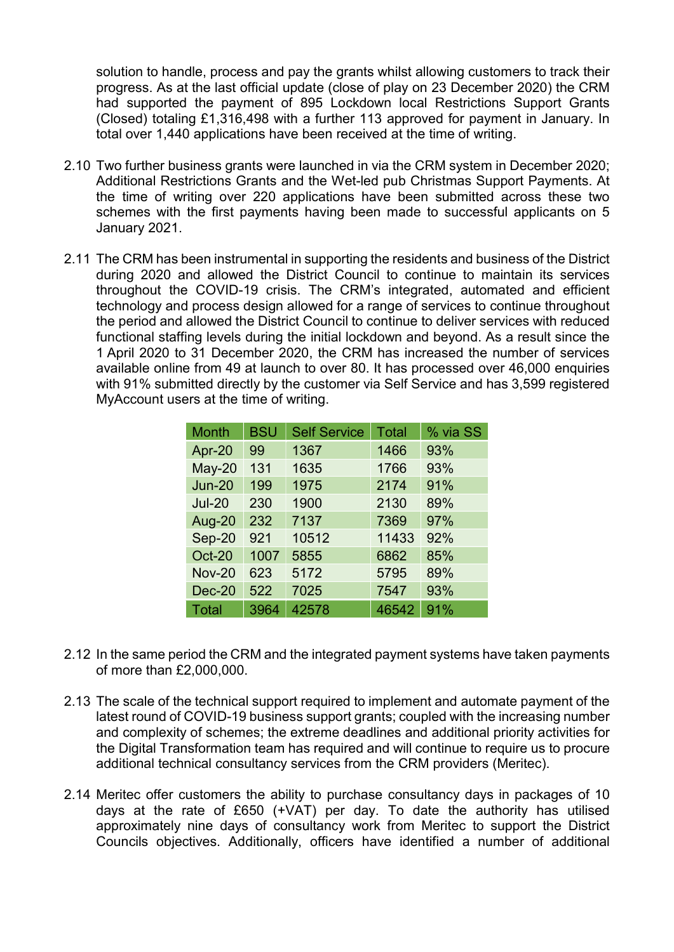solution to handle, process and pay the grants whilst allowing customers to track their progress. As at the last official update (close of play on 23 December 2020) the CRM had supported the payment of 895 Lockdown local Restrictions Support Grants (Closed) totaling £1,316,498 with a further 113 approved for payment in January. In total over 1,440 applications have been received at the time of writing.

- 2.10 Two further business grants were launched in via the CRM system in December 2020; Additional Restrictions Grants and the Wet-led pub Christmas Support Payments. At the time of writing over 220 applications have been submitted across these two schemes with the first payments having been made to successful applicants on 5 January 2021.
- 2.11 The CRM has been instrumental in supporting the residents and business of the District during 2020 and allowed the District Council to continue to maintain its services throughout the COVID-19 crisis. The CRM's integrated, automated and efficient technology and process design allowed for a range of services to continue throughout the period and allowed the District Council to continue to deliver services with reduced functional staffing levels during the initial lockdown and beyond. As a result since the 1 April 2020 to 31 December 2020, the CRM has increased the number of services available online from 49 at launch to over 80. It has processed over 46,000 enquiries with 91% submitted directly by the customer via Self Service and has 3,599 registered MyAccount users at the time of writing.

| <b>Month</b>  | <b>BSU</b> | <b>Self Service</b> | Total | % via SS |
|---------------|------------|---------------------|-------|----------|
| Apr-20        | 99         | 1367                | 1466  | 93%      |
| $May-20$      | 131        | 1635                | 1766  | 93%      |
| <b>Jun-20</b> | 199        | 1975                | 2174  | 91%      |
| <b>Jul-20</b> | 230        | 1900                | 2130  | 89%      |
| <b>Aug-20</b> | 232        | 7137                | 7369  | 97%      |
| Sep-20        | 921        | 10512               | 11433 | 92%      |
| <b>Oct-20</b> | 1007       | 5855                | 6862  | 85%      |
| <b>Nov-20</b> | 623        | 5172                | 5795  | 89%      |
| <b>Dec-20</b> | 522        | 7025                | 7547  | 93%      |
| Total         | 3964       | 42578               | 46542 | 91%      |

- 2.12 In the same period the CRM and the integrated payment systems have taken payments of more than £2,000,000.
- 2.13 The scale of the technical support required to implement and automate payment of the latest round of COVID-19 business support grants; coupled with the increasing number and complexity of schemes; the extreme deadlines and additional priority activities for the Digital Transformation team has required and will continue to require us to procure additional technical consultancy services from the CRM providers (Meritec).
- 2.14 Meritec offer customers the ability to purchase consultancy days in packages of 10 days at the rate of £650 (+VAT) per day. To date the authority has utilised approximately nine days of consultancy work from Meritec to support the District Councils objectives. Additionally, officers have identified a number of additional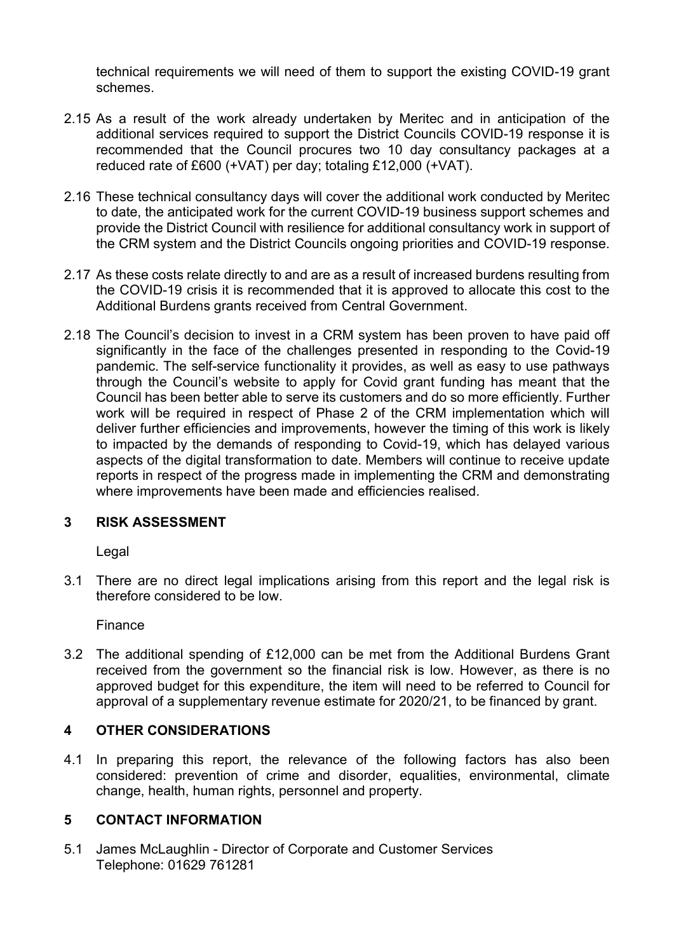technical requirements we will need of them to support the existing COVID-19 grant schemes.

- 2.15 As a result of the work already undertaken by Meritec and in anticipation of the additional services required to support the District Councils COVID-19 response it is recommended that the Council procures two 10 day consultancy packages at a reduced rate of £600 (+VAT) per day; totaling £12,000 (+VAT).
- 2.16 These technical consultancy days will cover the additional work conducted by Meritec to date, the anticipated work for the current COVID-19 business support schemes and provide the District Council with resilience for additional consultancy work in support of the CRM system and the District Councils ongoing priorities and COVID-19 response.
- 2.17 As these costs relate directly to and are as a result of increased burdens resulting from the COVID-19 crisis it is recommended that it is approved to allocate this cost to the Additional Burdens grants received from Central Government.
- 2.18 The Council's decision to invest in a CRM system has been proven to have paid off significantly in the face of the challenges presented in responding to the Covid-19 pandemic. The self-service functionality it provides, as well as easy to use pathways through the Council's website to apply for Covid grant funding has meant that the Council has been better able to serve its customers and do so more efficiently. Further work will be required in respect of Phase 2 of the CRM implementation which will deliver further efficiencies and improvements, however the timing of this work is likely to impacted by the demands of responding to Covid-19, which has delayed various aspects of the digital transformation to date. Members will continue to receive update reports in respect of the progress made in implementing the CRM and demonstrating where improvements have been made and efficiencies realised.

# 3 RISK ASSESSMENT

Legal

3.1 There are no direct legal implications arising from this report and the legal risk is therefore considered to be low.

Finance

3.2 The additional spending of £12,000 can be met from the Additional Burdens Grant received from the government so the financial risk is low. However, as there is no approved budget for this expenditure, the item will need to be referred to Council for approval of a supplementary revenue estimate for 2020/21, to be financed by grant.

# 4 OTHER CONSIDERATIONS

4.1 In preparing this report, the relevance of the following factors has also been considered: prevention of crime and disorder, equalities, environmental, climate change, health, human rights, personnel and property.

# 5 CONTACT INFORMATION

5.1 James McLaughlin - Director of Corporate and Customer Services Telephone: 01629 761281